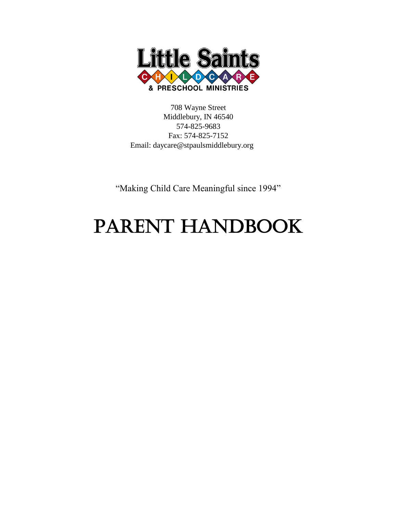

708 Wayne Street Middlebury, IN 46540 574-825-9683 Fax: 574-825-7152 Email: [daycare@stpaulsmiddlebury.org](mailto:daycare@stpaulsmiddlebury.org)

"Making Child Care Meaningful since 1994"

# PARENT HANDBOOK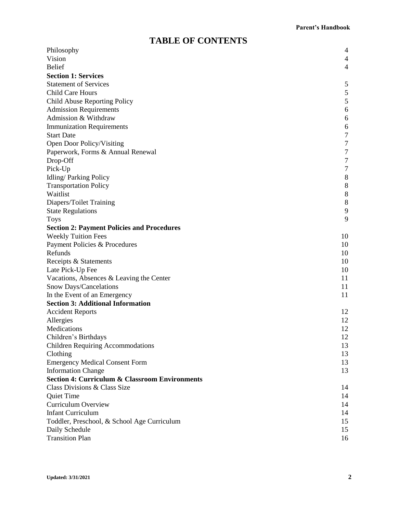# **TABLE OF CONTENTS**

| Philosophy                                                | 4                        |
|-----------------------------------------------------------|--------------------------|
| Vision                                                    | 4                        |
| <b>Belief</b>                                             | $\overline{\mathcal{A}}$ |
| <b>Section 1: Services</b>                                |                          |
| <b>Statement of Services</b>                              | 5                        |
| Child Care Hours                                          | 5                        |
| Child Abuse Reporting Policy                              | 5                        |
| <b>Admission Requirements</b>                             | 6                        |
| Admission & Withdraw                                      | 6                        |
| <b>Immunization Requirements</b>                          | 6                        |
| <b>Start Date</b>                                         | 7                        |
| Open Door Policy/Visiting                                 | 7                        |
| Paperwork, Forms & Annual Renewal                         | $\sqrt{ }$               |
| Drop-Off                                                  | 7                        |
| Pick-Up                                                   | $\tau$                   |
| Idling/Parking Policy                                     | 8                        |
| <b>Transportation Policy</b>                              | $\,8\,$                  |
| Waitlist                                                  | 8                        |
| Diapers/Toilet Training                                   | 8                        |
| <b>State Regulations</b>                                  | 9                        |
| <b>Toys</b>                                               | 9                        |
| <b>Section 2: Payment Policies and Procedures</b>         |                          |
| <b>Weekly Tuition Fees</b>                                | 10                       |
| Payment Policies & Procedures                             | 10                       |
| Refunds                                                   | 10                       |
| Receipts & Statements                                     | 10                       |
| Late Pick-Up Fee                                          | 10                       |
| Vacations, Absences & Leaving the Center                  | 11                       |
| Snow Days/Cancelations                                    | 11                       |
| In the Event of an Emergency                              | 11                       |
| <b>Section 3: Additional Information</b>                  |                          |
| <b>Accident Reports</b>                                   | 12                       |
| Allergies                                                 | 12                       |
| Medications                                               | 12                       |
| Children's Birthdays                                      | 12                       |
| <b>Children Requiring Accommodations</b>                  | 13                       |
| Clothing                                                  | 13                       |
| <b>Emergency Medical Consent Form</b>                     | 13                       |
| <b>Information Change</b>                                 | 13                       |
| <b>Section 4: Curriculum &amp; Classroom Environments</b> |                          |
| Class Divisions & Class Size                              | 14                       |
| <b>Quiet Time</b>                                         | 14                       |
| Curriculum Overview                                       | 14                       |
| <b>Infant Curriculum</b>                                  | 14                       |
| Toddler, Preschool, & School Age Curriculum               | 15                       |
| Daily Schedule                                            | 15                       |
| <b>Transition Plan</b>                                    | 16                       |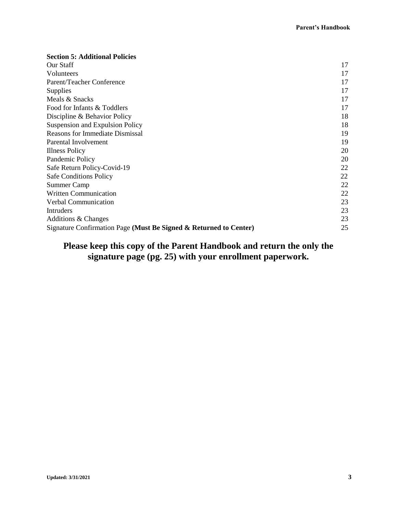| <b>Section 5: Additional Policies</b>                             |    |
|-------------------------------------------------------------------|----|
| Our Staff                                                         | 17 |
| Volunteers                                                        | 17 |
| Parent/Teacher Conference                                         | 17 |
| <b>Supplies</b>                                                   | 17 |
| Meals & Snacks                                                    | 17 |
| Food for Infants & Toddlers                                       | 17 |
| Discipline & Behavior Policy                                      | 18 |
| Suspension and Expulsion Policy                                   | 18 |
| <b>Reasons for Immediate Dismissal</b>                            | 19 |
| Parental Involvement                                              | 19 |
| <b>Illness Policy</b>                                             | 20 |
| Pandemic Policy                                                   | 20 |
| Safe Return Policy-Covid-19                                       | 22 |
| <b>Safe Conditions Policy</b>                                     | 22 |
| Summer Camp                                                       | 22 |
| Written Communication                                             | 22 |
| Verbal Communication                                              | 23 |
| Intruders                                                         | 23 |
| Additions & Changes                                               | 23 |
| Signature Confirmation Page (Must Be Signed & Returned to Center) |    |

# **Please keep this copy of the Parent Handbook and return the only the signature page (pg. 25) with your enrollment paperwork.**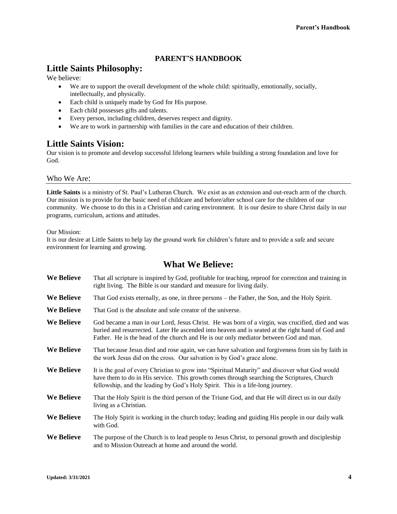# **PARENT'S HANDBOOK**

# **Little Saints Philosophy:**

We believe:

- We are to support the overall development of the whole child: spiritually, emotionally, socially, intellectually, and physically.
- Each child is uniquely made by God for His purpose.
- Each child possesses gifts and talents.
- Every person, including children, deserves respect and dignity.
- We are to work in partnership with families in the care and education of their children.

# **Little Saints Vision:**

Our vision is to promote and develop successful lifelong learners while building a strong foundation and love for God.

# Who We Are:

**Little Saints** is a ministry of St. Paul's Lutheran Church. We exist as an extension and out-reach arm of the church. Our mission is to provide for the basic need of childcare and before/after school care for the children of our community. We choose to do this in a Christian and caring environment. It is our desire to share Christ daily in our programs, curriculum, actions and attitudes.

Our Mission:

It is our desire at Little Saints to help lay the ground work for children's future and to provide a safe and secure environment for learning and growing.

# **What We Believe:**

| <b>We Believe</b> | That all scripture is inspired by God, profitable for teaching, reproof for correction and training in<br>right living. The Bible is our standard and measure for living daily.                                                                                                               |
|-------------------|-----------------------------------------------------------------------------------------------------------------------------------------------------------------------------------------------------------------------------------------------------------------------------------------------|
| We Believe        | That God exists eternally, as one, in three persons – the Father, the Son, and the Holy Spirit.                                                                                                                                                                                               |
| We Believe        | That God is the absolute and sole creator of the universe.                                                                                                                                                                                                                                    |
| We Believe        | God became a man in our Lord, Jesus Christ. He was born of a virgin, was crucified, died and was<br>buried and resurrected. Later He ascended into heaven and is seated at the right hand of God and<br>Father. He is the head of the church and He is our only mediator between God and man. |
| We Believe        | That because Jesus died and rose again, we can have salvation and forgiveness from sin by faith in<br>the work Jesus did on the cross. Our salvation is by God's grace alone.                                                                                                                 |
| <b>We Believe</b> | It is the goal of every Christian to grow into "Spiritual Maturity" and discover what God would<br>have them to do in His service. This growth comes through searching the Scriptures, Church<br>fellowship, and the leading by God's Holy Spirit. This is a life-long journey.               |
| We Believe        | That the Holy Spirit is the third person of the Triune God, and that He will direct us in our daily<br>living as a Christian.                                                                                                                                                                 |
| We Believe        | The Holy Spirit is working in the church today; leading and guiding His people in our daily walk<br>with God.                                                                                                                                                                                 |
| We Believe        | The purpose of the Church is to lead people to Jesus Christ, to personal growth and discipleship<br>and to Mission Outreach at home and around the world.                                                                                                                                     |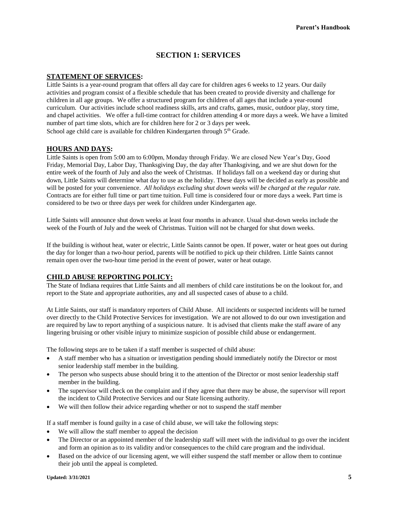# **SECTION 1: SERVICES**

#### **STATEMENT OF SERVICES:**

Little Saints is a year-round program that offers all day care for children ages 6 weeks to 12 years. Our daily activities and program consist of a flexible schedule that has been created to provide diversity and challenge for children in all age groups. We offer a structured program for children of all ages that include a year-round curriculum. Our activities include school readiness skills, arts and crafts, games, music, outdoor play, story time, and chapel activities. We offer a full-time contract for children attending 4 or more days a week. We have a limited number of part time slots, which are for children here for 2 or 3 days per week. School age child care is available for children Kindergarten through  $5<sup>th</sup>$  Grade.

#### **HOURS AND DAYS:**

Little Saints is open from 5:00 am to 6:00pm, Monday through Friday. We are closed New Year's Day, Good Friday, Memorial Day, Labor Day, Thanksgiving Day, the day after Thanksgiving, and we are shut down for the entire week of the fourth of July and also the week of Christmas. If holidays fall on a weekend day or during shut down, Little Saints will determine what day to use as the holiday. These days will be decided as early as possible and will be posted for your convenience. *All holidays excluding shut down weeks will be charged at the regular rate.*  Contracts are for either full time or part time tuition. Full time is considered four or more days a week. Part time is considered to be two or three days per week for children under Kindergarten age.

Little Saints will announce shut down weeks at least four months in advance. Usual shut-down weeks include the week of the Fourth of July and the week of Christmas. Tuition will not be charged for shut down weeks.

If the building is without heat, water or electric, Little Saints cannot be open. If power, water or heat goes out during the day for longer than a two-hour period, parents will be notified to pick up their children. Little Saints cannot remain open over the two-hour time period in the event of power, water or heat outage.

#### **CHILD ABUSE REPORTING POLICY:**

The State of Indiana requires that Little Saints and all members of child care institutions be on the lookout for, and report to the State and appropriate authorities, any and all suspected cases of abuse to a child.

At Little Saints, our staff is mandatory reporters of Child Abuse. All incidents or suspected incidents will be turned over directly to the Child Protective Services for investigation. We are not allowed to do our own investigation and are required by law to report anything of a suspicious nature. It is advised that clients make the staff aware of any lingering bruising or other visible injury to minimize suspicion of possible child abuse or endangerment.

The following steps are to be taken if a staff member is suspected of child abuse:

- A staff member who has a situation or investigation pending should immediately notify the Director or most senior leadership staff member in the building.
- The person who suspects abuse should bring it to the attention of the Director or most senior leadership staff member in the building.
- The supervisor will check on the complaint and if they agree that there may be abuse, the supervisor will report the incident to Child Protective Services and our State licensing authority.
- We will then follow their advice regarding whether or not to suspend the staff member

If a staff member is found guilty in a case of child abuse, we will take the following steps:

- We will allow the staff member to appeal the decision
- The Director or an appointed member of the leadership staff will meet with the individual to go over the incident and form an opinion as to its validity and/or consequences to the child care program and the individual.
- Based on the advice of our licensing agent, we will either suspend the staff member or allow them to continue their job until the appeal is completed.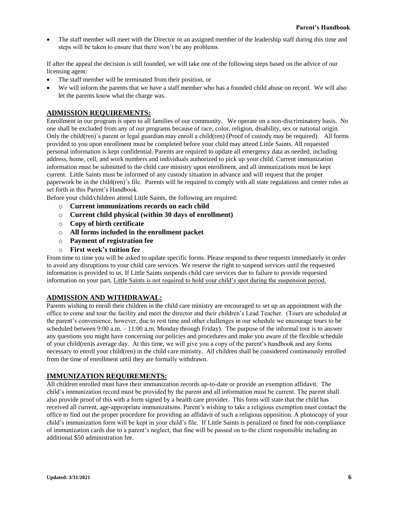• The staff member will meet with the Director or an assigned member of the leadership staff during this time and steps will be taken to ensure that there won't be any problems.

If after the appeal the decision is still founded, we will take one of the following steps based on the advice of our licensing agent:

- The staff member will be terminated from their position, or
- We will inform the parents that we have a staff member who has a founded child abuse on record. We will also let the parents know what the charge was.

# **ADMISSION REQUIREMENTS:**

Enrollment in our program is open to all families of our community. We operate on a non-discriminatory basis. No one shall be excluded from any of our programs because of race, color, religion, disability, sex or national origin. Only the child(ren)'s parent or legal guardian may enroll a child(ren) (Proof of custody may be required). All forms provided to you upon enrollment must be completed before your child may attend Little Saints. All requested personal information is kept confidential. Parents are required to update all emergency data as needed, including address, home, cell, and work numbers and individuals authorized to pick up your child. Current immunization information must be submitted to the child care ministry upon enrollment, and all immunizations must be kept current. Little Saints must be informed of any custody situation in advance and will request that the proper paperwork be in the child(ren)'s file. Parents will be required to comply with all state regulations and center rules as set forth in this Parent's Handbook.

Before your child/children attend Little Saints, the following are required:

- o **Current immunizations records on each child**
- o **Current child physical (within 30 days of enrollment)**
- o **Copy of birth certificate**
- o **All forms included in the enrollment packet**
- o **Payment of registration fee**
- o **First week's tuition fee**

From time to time you will be asked to update specific forms. Please respond to these requests immediately in order to avoid any disruptions to your child care services. We reserve the right to suspend services until the requested information is provided to us. If Little Saints suspends child care services due to failure to provide requested information on your part, Little Saints is not required to hold your child's spot during the suspension period.

## **ADMISSION AND WITHDRAWAL:**

Parents wishing to enroll their children in the child care ministry are encouraged to set up an appointment with the office to come and tour the facility and meet the director and their children's Lead Teacher. (Tours are scheduled at the parent's convenience, however, due to rest time and other challenges in our schedule we encourage tours to be scheduled between 9:00 a.m. – 11:00 a.m. Monday through Friday). The purpose of the informal tour is to answer any questions you might have concerning our policies and procedures and make you aware of the flexible schedule of your child(ren)s average day. At this time, we will give you a copy of the parent's handbook and any forms necessary to enroll your child(ren) in the child care ministry. All children shall be considered continuously enrolled from the time of enrollment until they are formally withdrawn.

#### **IMMUNIZATION REQUIREMENTS:**

All children enrolled must have their immunization records up-to-date or provide an exemption affidavit. The child's immunization record must be provided by the parent and all information must be current. The parent shall also provide proof of this with a form signed by a health care provider. This form will state that the child has received all current, age-appropriate immunizations. Parent's wishing to take a religious exemption must contact the office to find out the proper procedure for providing an affidavit of such a religious opposition. A photocopy of your child's immunization form will be kept in your child's file. If Little Saints is penalized or fined for non-compliance of immunization cards due to a parent's neglect, that fine will be passed on to the client responsible including an additional \$50 administration fee.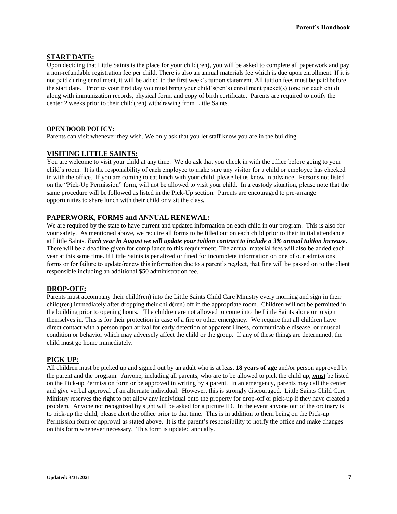#### **START DATE:**

Upon deciding that Little Saints is the place for your child(ren), you will be asked to complete all paperwork and pay a non-refundable registration fee per child. There is also an annual materials fee which is due upon enrollment. If it is not paid during enrollment, it will be added to the first week's tuition statement. All tuition fees must be paid before the start date. Prior to your first day you must bring your child's(ren's) enrollment packet(s) (one for each child) along with immunization records, physical form, and copy of birth certificate. Parents are required to notify the center 2 weeks prior to their child(ren) withdrawing from Little Saints.

#### **OPEN DOOR POLICY:**

Parents can visit whenever they wish. We only ask that you let staff know you are in the building.

#### **VISITING LITTLE SAINTS:**

You are welcome to visit your child at any time. We do ask that you check in with the office before going to your child's room. It is the responsibility of each employee to make sure any visitor for a child or employee has checked in with the office. If you are coming to eat lunch with your child, please let us know in advance. Persons not listed on the "Pick-Up Permission" form, will not be allowed to visit your child. In a custody situation, please note that the same procedure will be followed as listed in the Pick-Up section. Parents are encouraged to pre-arrange opportunities to share lunch with their child or visit the class.

#### **PAPERWORK, FORMS and ANNUAL RENEWAL:**

We are required by the state to have current and updated information on each child in our program. This is also for your safety. As mentioned above, we require all forms to be filled out on each child prior to their initial attendance at Little Saints. *Each year in August we will update your tuition contract to include a 3% annual tuition increase.* There will be a deadline given for compliance to this requirement. The annual material fees will also be added each year at this same time. If Little Saints is penalized or fined for incomplete information on one of our admissions forms or for failure to update/renew this information due to a parent's neglect, that fine will be passed on to the client responsible including an additional \$50 administration fee.

#### **DROP-OFF:**

Parents must accompany their child(ren) into the Little Saints Child Care Ministry every morning and sign in their child(ren) immediately after dropping their child(ren) off in the appropriate room. Children will not be permitted in the building prior to opening hours. The children are not allowed to come into the Little Saints alone or to sign themselves in. This is for their protection in case of a fire or other emergency. We require that all children have direct contact with a person upon arrival for early detection of apparent illness, communicable disease, or unusual condition or behavior which may adversely affect the child or the group. If any of these things are determined, the child must go home immediately.

#### **PICK-UP:**

All children must be picked up and signed out by an adult who is at least **18 years of age** and/or person approved by the parent and the program. Anyone, including all parents, who are to be allowed to pick the child up, *must* be listed on the Pick-up Permission form or be approved in writing by a parent. In an emergency, parents may call the center and give verbal approval of an alternate individual. However, this is strongly discouraged. Little Saints Child Care Ministry reserves the right to not allow any individual onto the property for drop-off or pick-up if they have created a problem. Anyone not recognized by sight will be asked for a picture ID. In the event anyone out of the ordinary is to pick-up the child, please alert the office prior to that time. This is in addition to them being on the Pick-up Permission form or approval as stated above. It is the parent's responsibility to notify the office and make changes on this form whenever necessary. This form is updated annually.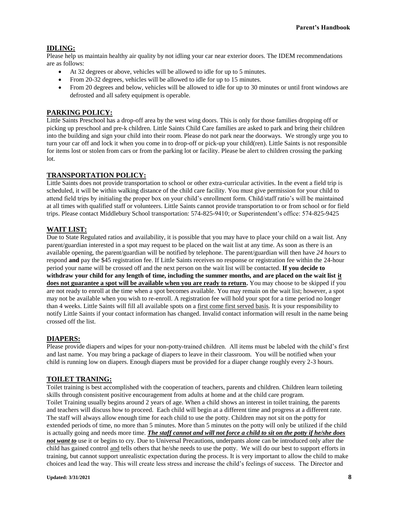# **IDLING:**

Please help us maintain healthy air quality by not idling your car near exterior doors. The IDEM recommendations are as follows:

- At 32 degrees or above, vehicles will be allowed to idle for up to 5 minutes.
- From 20-32 degrees, vehicles will be allowed to idle for up to 15 minutes.
- From 20 degrees and below, vehicles will be allowed to idle for up to 30 minutes or until front windows are defrosted and all safety equipment is operable.

# **PARKING POLICY:**

Little Saints Preschool has a drop-off area by the west wing doors. This is only for those families dropping off or picking up preschool and pre-k children. Little Saints Child Care families are asked to park and bring their children into the building and sign your child into their room. Please do not park near the doorways. We strongly urge you to turn your car off and lock it when you come in to drop-off or pick-up your child(ren). Little Saints is not responsible for items lost or stolen from cars or from the parking lot or facility. Please be alert to children crossing the parking lot.

#### **TRANSPORTATION POLICY:**

Little Saints does not provide transportation to school or other extra-curricular activities. In the event a field trip is scheduled, it will be within walking distance of the child care facility. You must give permission for your child to attend field trips by initialing the proper box on your child's enrollment form. Child/staff ratio's will be maintained at all times with qualified staff or volunteers. Little Saints cannot provide transportation to or from school or for field trips. Please contact Middlebury School transportation: 574-825-9410; or Superintendent's office: 574-825-9425

# **WAIT LIST:**

Due to State Regulated ratios and availability, it is possible that you may have to place your child on a wait list. Any parent/guardian interested in a spot may request to be placed on the wait list at any time. As soon as there is an available opening, the parent/guardian will be notified by telephone. The parent/guardian will then have *24 hours* to respond **and** pay the \$45 registration fee. If Little Saints receives no response or registration fee within the 24-hour period your name will be crossed off and the next person on the wait list will be contacted. **If you decide to withdraw your child for any length of time, including the summer months, and are placed on the wait list it does not guarantee a spot will be available when you are ready to return.** You may choose to be skipped if you are not ready to enroll at the time when a spot becomes available. You may remain on the wait list; however, a spot may not be available when you wish to re-enroll. A registration fee will hold your spot for a time period no longer than 4 weeks. Little Saints will fill all available spots on a first come first served basis. It is your responsibility to notify Little Saints if your contact information has changed. Invalid contact information will result in the name being crossed off the list.

#### **DIAPERS:**

Please provide diapers and wipes for your non-potty-trained children. All items must be labeled with the child's first and last name. You may bring a package of diapers to leave in their classroom. You will be notified when your child is running low on diapers. Enough diapers must be provided for a diaper change roughly every 2-3 hours.

#### **TOILET TRANING:**

Toilet training is best accomplished with the cooperation of teachers, parents and children. Children learn toileting skills through consistent positive encouragement from adults at home and at the child care program. Toilet Training usually begins around 2 years of age. When a child shows an interest in toilet training, the parents and teachers will discuss how to proceed. Each child will begin at a different time and progress at a different rate. The staff will always allow enough time for each child to use the potty. Children may not sit on the potty for extended periods of time, no more than 5 minutes. More than 5 minutes on the potty will only be utilized if the child is actually going and needs more time. *The staff cannot and will not force a child to sit on the potty if he/she does not want to* use it or begins to cry. Due to Universal Precautions, underpants alone can be introduced only after the child has gained control and tells others that he/she needs to use the potty. We will do our best to support efforts in training, but cannot support unrealistic expectation during the process. It is very important to allow the child to make choices and lead the way. This will create less stress and increase the child's feelings of success. The Director and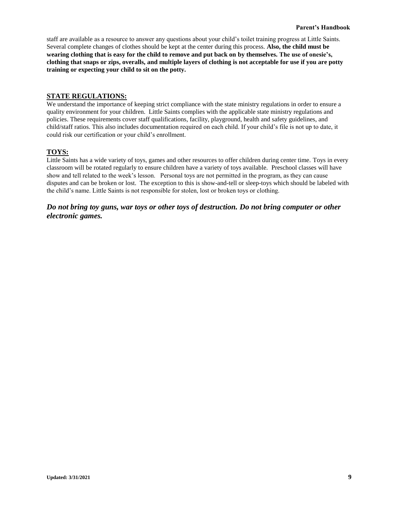staff are available as a resource to answer any questions about your child's toilet training progress at Little Saints. Several complete changes of clothes should be kept at the center during this process. **Also, the child must be wearing clothing that is easy for the child to remove and put back on by themselves. The use of onesie's, clothing that snaps or zips, overalls, and multiple layers of clothing is not acceptable for use if you are potty training or expecting your child to sit on the potty.** 

# **STATE REGULATIONS:**

We understand the importance of keeping strict compliance with the state ministry regulations in order to ensure a quality environment for your children. Little Saints complies with the applicable state ministry regulations and policies. These requirements cover staff qualifications, facility, playground, health and safety guidelines, and child/staff ratios. This also includes documentation required on each child. If your child's file is not up to date, it could risk our certification or your child's enrollment.

# **TOYS:**

Little Saints has a wide variety of toys, games and other resources to offer children during center time. Toys in every classroom will be rotated regularly to ensure children have a variety of toys available. Preschool classes will have show and tell related to the week's lesson. Personal toys are not permitted in the program, as they can cause disputes and can be broken or lost. The exception to this is show-and-tell or sleep-toys which should be labeled with the child's name. Little Saints is not responsible for stolen, lost or broken toys or clothing.

*Do not bring toy guns, war toys or other toys of destruction. Do not bring computer or other electronic games.*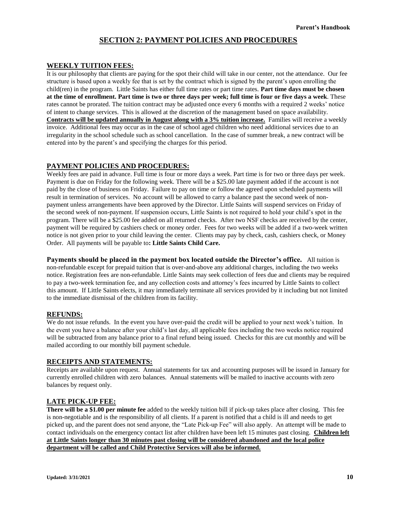# **SECTION 2: PAYMENT POLICIES AND PROCEDURES**

#### **WEEKLY TUITION FEES:**

It is our philosophy that clients are paying for the spot their child will take in our center, not the attendance. Our fee structure is based upon a weekly fee that is set by the contract which is signed by the parent's upon enrolling the child(ren) in the program. Little Saints has either full time rates or part time rates. **Part time days must be chosen at the time of enrollment. Part time is two or three days per week; full time is four or five days a week**. These rates cannot be prorated. The tuition contract may be adjusted once every 6 months with a required 2 weeks' notice of intent to change services. This is allowed at the discretion of the management based on space availability. **Contracts will be updated annually in August along with a 3% tuition increase.** Families will receive a weekly invoice. Additional fees may occur as in the case of school aged children who need additional services due to an irregularity in the school schedule such as school cancellation. In the case of summer break, a new contract will be entered into by the parent's and specifying the charges for this period.

#### **PAYMENT POLICIES AND PROCEDURES:**

Weekly fees are paid in advance. Full time is four or more days a week. Part time is for two or three days per week. Payment is due on Friday for the following week. There will be a \$25.00 late payment added if the account is not paid by the close of business on Friday. Failure to pay on time or follow the agreed upon scheduled payments will result in termination of services. No account will be allowed to carry a balance past the second week of nonpayment unless arrangements have been approved by the Director. Little Saints will suspend services on Friday of the second week of non-payment. If suspension occurs, Little Saints is not required to hold your child's spot in the program. There will be a \$25.00 fee added on all returned checks. After two NSF checks are received by the center, payment will be required by cashiers check or money order. Fees for two weeks will be added if a two-week written notice is not given prior to your child leaving the center. Clients may pay by check, cash, cashiers check, or Money Order. All payments will be payable to**: Little Saints Child Care.**

**Payments should be placed in the payment box located outside the Director's office.** All tuition is non-refundable except for prepaid tuition that is over-and-above any additional charges, including the two weeks notice. Registration fees are non-refundable. Little Saints may seek collection of fees due and clients may be required to pay a two-week termination fee, and any collection costs and attorney's fees incurred by Little Saints to collect this amount. If Little Saints elects, it may immediately terminate all services provided by it including but not limited to the immediate dismissal of the children from its facility.

#### **REFUNDS:**

We do not issue refunds. In the event you have over-paid the credit will be applied to your next week's tuition. In the event you have a balance after your child's last day, all applicable fees including the two weeks notice required will be subtracted from any balance prior to a final refund being issued. Checks for this are cut monthly and will be mailed according to our monthly bill payment schedule.

#### **RECEIPTS AND STATEMENTS:**

Receipts are available upon request. Annual statements for tax and accounting purposes will be issued in January for currently enrolled children with zero balances. Annual statements will be mailed to inactive accounts with zero balances by request only.

#### **LATE PICK-UP FEE:**

**There will be a \$1.00 per minute fee** added to the weekly tuition bill if pick-up takes place after closing. This fee is non-negotiable and is the responsibility of all clients. If a parent is notified that a child is ill and needs to get picked up, and the parent does not send anyone, the "Late Pick-up Fee" will also apply. An attempt will be made to contact individuals on the emergency contact list after children have been left 15 minutes past closing. **Children left at Little Saints longer than 30 minutes past closing will be considered abandoned and the local police department will be called and Child Protective Services will also be informed.**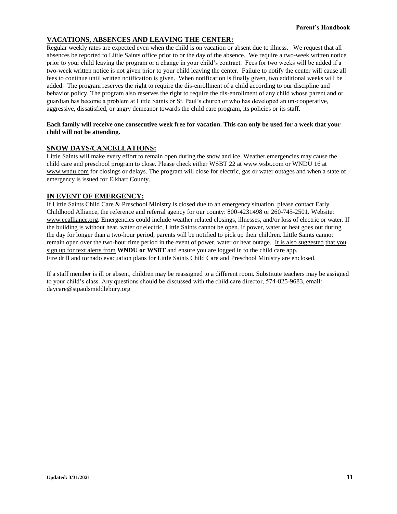# **VACATIONS, ABSENCES AND LEAVING THE CENTER:**

Regular weekly rates are expected even when the child is on vacation or absent due to illness. We request that all absences be reported to Little Saints office prior to or the day of the absence. We require a two-week written notice prior to your child leaving the program or a change in your child's contract. Fees for two weeks will be added if a two-week written notice is not given prior to your child leaving the center. Failure to notify the center will cause all fees to continue until written notification is given. When notification is finally given, two additional weeks will be added. The program reserves the right to require the dis-enrollment of a child according to our discipline and behavior policy. The program also reserves the right to require the dis-enrollment of any child whose parent and or guardian has become a problem at Little Saints or St. Paul's church or who has developed an un-cooperative, aggressive, dissatisfied, or angry demeanor towards the child care program, its policies or its staff.

#### **Each family will receive one consecutive week free for vacation. This can only be used for a week that your child will not be attending.**

#### **SNOW DAYS/CANCELLATIONS:**

Little Saints will make every effort to remain open during the snow and ice. Weather emergencies may cause the child care and preschool program to close. Please check either WSBT 22 at [www.wsbt.com](http://www.wsbt.com/) or WNDU 16 at [www.wndu.com](http://www.wndu.com/) for closings or delays. The program will close for electric, gas or water outages and when a state of emergency is issued for Elkhart County.

#### **IN EVENT OF EMERGENCY:**

If Little Saints Child Care & Preschool Ministry is closed due to an emergency situation, please contact Early Childhood Alliance, the reference and referral agency for our county: 800-4231498 or 260-745-2501. Website: [www.ecalliance.org.](http://www.ecalliance.org/) Emergencies could include weather related closings, illnesses, and/or loss of electric or water. If the building is without heat, water or electric, Little Saints cannot be open. If power, water or heat goes out during the day for longer than a two-hour period, parents will be notified to pick up their children. Little Saints cannot remain open over the two-hour time period in the event of power, water or heat outage. It is also suggested that you sign up for text alerts from **WNDU or WSBT** and ensure you are logged in to the child care app. Fire drill and tornado evacuation plans for Little Saints Child Care and Preschool Ministry are enclosed.

If a staff member is ill or absent, children may be reassigned to a different room. Substitute teachers may be assigned to your child's class. Any questions should be discussed with the child care director, 574-825-9683, email: [daycare@stpaulsmiddlebury.org](mailto:daycare@stpaulsmiddlebury.org)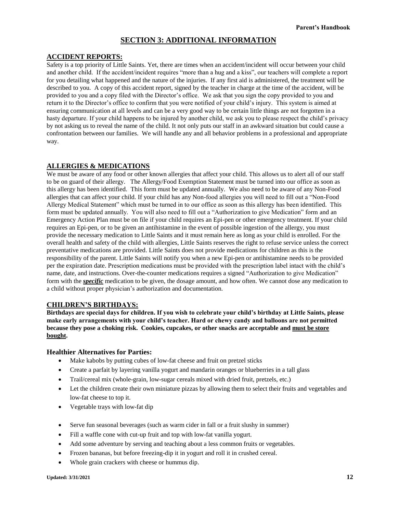# **SECTION 3: ADDITIONAL INFORMATION**

## **ACCIDENT REPORTS:**

Safety is a top priority of Little Saints. Yet, there are times when an accident/incident will occur between your child and another child. If the accident/incident requires "more than a hug and a kiss", our teachers will complete a report for you detailing what happened and the nature of the injuries. If any first aid is administered, the treatment will be described to you. A copy of this accident report, signed by the teacher in charge at the time of the accident, will be provided to you and a copy filed with the Director's office. We ask that you sign the copy provided to you and return it to the Director's office to confirm that you were notified of your child's injury. This system is aimed at ensuring communication at all levels and can be a very good way to be certain little things are not forgotten in a hasty departure. If your child happens to be injured by another child, we ask you to please respect the child's privacy by not asking us to reveal the name of the child. It not only puts our staff in an awkward situation but could cause a confrontation between our families. We will handle any and all behavior problems in a professional and appropriate way.

# **ALLERGIES & MEDICATIONS**

We must be aware of any food or other known allergies that affect your child. This allows us to alert all of our staff to be on guard of their allergy. The Allergy/Food Exemption Statement must be turned into our office as soon as this allergy has been identified. This form must be updated annually. We also need to be aware of any Non-Food allergies that can affect your child. If your child has any Non-food allergies you will need to fill out a "Non-Food Allergy Medical Statement" which must be turned in to our office as soon as this allergy has been identified. This form must be updated annually. You will also need to fill out a "Authorization to give Medication" form and an Emergency Action Plan must be on file if your child requires an Epi-pen or other emergency treatment. If your child requires an Epi-pen, or to be given an antihistamine in the event of possible ingestion of the allergy, you must provide the necessary medication to Little Saints and it must remain here as long as your child is enrolled. For the overall health and safety of the child with allergies, Little Saints reserves the right to refuse service unless the correct preventative medications are provided. Little Saints does not provide medications for children as this is the responsibility of the parent. Little Saints will notify you when a new Epi-pen or antihistamine needs to be provided per the expiration date. Prescription medications must be provided with the prescription label intact with the child's name, date, and instructions. Over-the-counter medications requires a signed "Authorization to give Medication" form with the *specific* medication to be given, the dosage amount, and how often. We cannot dose any medication to a child without proper physician's authorization and documentation.

# **CHILDREN'S BIRTHDAYS:**

**Birthdays are special days for children. If you wish to celebrate your child's birthday at Little Saints, please make early arrangements with your child's teacher. Hard or chewy candy and balloons are not permitted because they pose a choking risk. Cookies, cupcakes, or other snacks are acceptable and must be store bought.**

#### **Healthier Alternatives for Parties:**

- Make kabobs by putting cubes of low-fat cheese and fruit on pretzel sticks
- Create a parfait by layering vanilla yogurt and mandarin oranges or blueberries in a tall glass
- Trail/cereal mix (whole-grain, low-sugar cereals mixed with dried fruit, pretzels, etc.)
- Let the children create their own miniature pizzas by allowing them to select their fruits and vegetables and low-fat cheese to top it.
- Vegetable trays with low-fat dip
- Serve fun seasonal beverages (such as warm cider in fall or a fruit slushy in summer)
- Fill a waffle cone with cut-up fruit and top with low-fat vanilla yogurt.
- Add some adventure by serving and teaching about a less common fruits or vegetables.
- Frozen bananas, but before freezing-dip it in yogurt and roll it in crushed cereal.
- Whole grain crackers with cheese or hummus dip.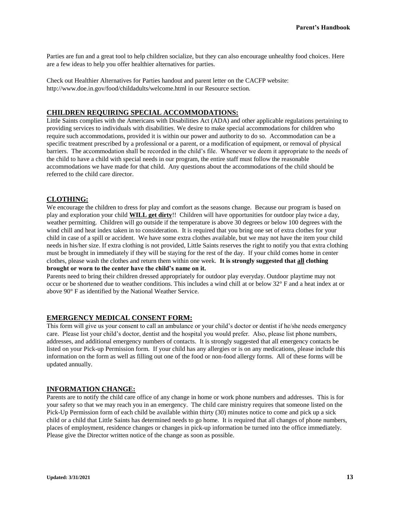Parties are fun and a great tool to help children socialize, but they can also encourage unhealthy food choices. Here are a few ideas to help you offer healthier alternatives for parties.

Check out Healthier Alternatives for Parties handout and parent letter on the CACFP website: http://www.doe.in.gov/food/childadults/welcome.html in our Resource section.

# **CHILDREN REQUIRING SPECIAL ACCOMMODATIONS:**

Little Saints complies with the Americans with Disabilities Act (ADA) and other applicable regulations pertaining to providing services to individuals with disabilities. We desire to make special accommodations for children who require such accommodations, provided it is within our power and authority to do so. Accommodation can be a specific treatment prescribed by a professional or a parent, or a modification of equipment, or removal of physical barriers. The accommodation shall be recorded in the child's file. Whenever we deem it appropriate to the needs of the child to have a child with special needs in our program, the entire staff must follow the reasonable accommodations we have made for that child. Any questions about the accommodations of the child should be referred to the child care director.

#### **CLOTHING:**

We encourage the children to dress for play and comfort as the seasons change. Because our program is based on play and exploration your child **WILL get dirty**!! Children will have opportunities for outdoor play twice a day, weather permitting. Children will go outside if the temperature is above 30 degrees or below 100 degrees with the wind chill and heat index taken in to consideration. It is required that you bring one set of extra clothes for your child in case of a spill or accident. We have some extra clothes available, but we may not have the item your child needs in his/her size. If extra clothing is not provided, Little Saints reserves the right to notify you that extra clothing must be brought in immediately if they will be staying for the rest of the day. If your child comes home in center clothes, please wash the clothes and return them within one week. **It is strongly suggested that all clothing brought or worn to the center have the child's name on it.**

Parents need to bring their children dressed appropriately for outdoor play everyday. Outdoor playtime may not occur or be shortened due to weather conditions. This includes a wind chill at or below 32° F and a heat index at or above 90° F as identified by the National Weather Service.

# **EMERGENCY MEDICAL CONSENT FORM:**

This form will give us your consent to call an ambulance or your child's doctor or dentist if he/she needs emergency care. Please list your child's doctor, dentist and the hospital you would prefer. Also, please list phone numbers, addresses, and additional emergency numbers of contacts. It is strongly suggested that all emergency contacts be listed on your Pick-up Permission form. If your child has any allergies or is on any medications, please include this information on the form as well as filling out one of the food or non-food allergy forms. All of these forms will be updated annually.

#### **INFORMATION CHANGE:**

Parents are to notify the child care office of any change in home or work phone numbers and addresses. This is for your safety so that we may reach you in an emergency. The child care ministry requires that someone listed on the Pick-Up Permission form of each child be available within thirty (30) minutes notice to come and pick up a sick child or a child that Little Saints has determined needs to go home. It is required that all changes of phone numbers, places of employment, residence changes or changes in pick-up information be turned into the office immediately. Please give the Director written notice of the change as soon as possible.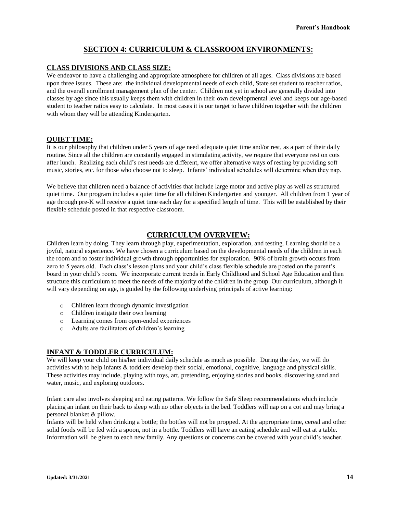# **SECTION 4: CURRICULUM & CLASSROOM ENVIRONMENTS:**

### **CLASS DIVISIONS AND CLASS SIZE:**

We endeavor to have a challenging and appropriate atmosphere for children of all ages. Class divisions are based upon three issues. These are: the individual developmental needs of each child, State set student to teacher ratios, and the overall enrollment management plan of the center. Children not yet in school are generally divided into classes by age since this usually keeps them with children in their own developmental level and keeps our age-based student to teacher ratios easy to calculate. In most cases it is our target to have children together with the children with whom they will be attending Kindergarten.

#### **QUIET TIME:**

It is our philosophy that children under 5 years of age need adequate quiet time and/or rest, as a part of their daily routine. Since all the children are constantly engaged in stimulating activity, we require that everyone rest on cots after lunch. Realizing each child's rest needs are different, we offer alternative ways of resting by providing soft music, stories, etc. for those who choose not to sleep. Infants' individual schedules will determine when they nap.

We believe that children need a balance of activities that include large motor and active play as well as structured quiet time. Our program includes a quiet time for all children Kindergarten and younger. All children from 1 year of age through pre-K will receive a quiet time each day for a specified length of time. This will be established by their flexible schedule posted in that respective classroom.

# **CURRICULUM OVERVIEW:**

Children learn by doing. They learn through play, experimentation, exploration, and testing. Learning should be a joyful, natural experience. We have chosen a curriculum based on the developmental needs of the children in each the room and to foster individual growth through opportunities for exploration. 90% of brain growth occurs from zero to 5 years old. Each class's lesson plans and your child's class flexible schedule are posted on the parent's board in your child's room. We incorporate current trends in Early Childhood and School Age Education and then structure this curriculum to meet the needs of the majority of the children in the group. Our curriculum, although it will vary depending on age, is guided by the following underlying principals of active learning:

- o Children learn through dynamic investigation
- o Children instigate their own learning
- o Learning comes from open-ended experiences
- o Adults are facilitators of children's learning

#### **INFANT & TODDLER CURRICULUM:**

We will keep your child on his/her individual daily schedule as much as possible. During the day, we will do activities with to help infants & toddlers develop their social, emotional, cognitive, language and physical skills. These activities may include, playing with toys, art, pretending, enjoying stories and books, discovering sand and water, music, and exploring outdoors.

Infant care also involves sleeping and eating patterns. We follow the Safe Sleep recommendations which include placing an infant on their back to sleep with no other objects in the bed. Toddlers will nap on a cot and may bring a personal blanket & pillow.

Infants will be held when drinking a bottle; the bottles will not be propped. At the appropriate time, cereal and other solid foods will be fed with a spoon, not in a bottle. Toddlers will have an eating schedule and will eat at a table. Information will be given to each new family. Any questions or concerns can be covered with your child's teacher.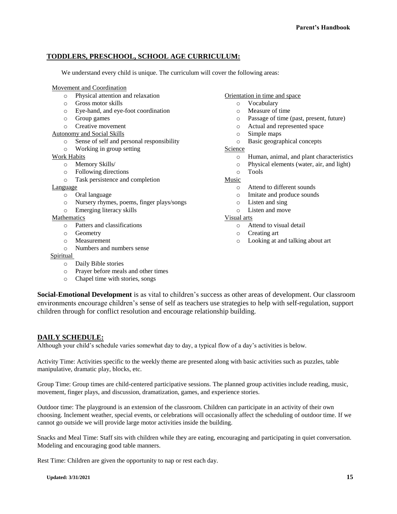# **TODDLERS, PRESCHOOL, SCHOOL AGE CURRICULUM:**

We understand every child is unique. The curriculum will cover the following areas:

#### Movement and Coordination

- o Physical attention and relaxation
- o Gross motor skills
- o Eye-hand, and eye-foot coordination
- o Group games
- o Creative movement
- Autonomy and Social Skills
	- o Sense of self and personal responsibility
	- o Working in group setting

#### Work Habits

- o Memory Skills/
- o Following directions
- o Task persistence and completion

#### Language

- o Oral language
- o Nursery rhymes, poems, finger plays/songs
- o Emerging literacy skills

#### Mathematics

- o Patters and classifications
- o Geometry
- o Measurement
- o Numbers and numbers sense

#### Spiritual

- o Daily Bible stories
- o Prayer before meals and other times
- o Chapel time with stories, songs

### Orientation in time and space

- o Vocabulary
- o Measure of time
- o Passage of time (past, present, future)
- o Actual and represented space
- o Simple maps
- o Basic geographical concepts

#### Science

- o Human, animal, and plant characteristics
- o Physical elements (water, air, and light)
- o Tools

#### Music

- o Attend to different sounds
- o Imitate and produce sounds
- o Listen and sing
- o Listen and move

#### Visual arts

- o Attend to visual detail
- o Creating art
- o Looking at and talking about art

**Social-Emotional Development** is as vital to children's success as other areas of development. Our classroom environments encourage children's sense of self as teachers use strategies to help with self-regulation, support children through for conflict resolution and encourage relationship building.

# **DAILY SCHEDULE:**

Although your child's schedule varies somewhat day to day, a typical flow of a day's activities is below.

Activity Time: Activities specific to the weekly theme are presented along with basic activities such as puzzles, table manipulative, dramatic play, blocks, etc.

Group Time: Group times are child-centered participative sessions. The planned group activities include reading, music, movement, finger plays, and discussion, dramatization, games, and experience stories.

Outdoor time: The playground is an extension of the classroom. Children can participate in an activity of their own choosing. Inclement weather, special events, or celebrations will occasionally affect the scheduling of outdoor time. If we cannot go outside we will provide large motor activities inside the building.

Snacks and Meal Time: Staff sits with children while they are eating, encouraging and participating in quiet conversation. Modeling and encouraging good table manners.

Rest Time: Children are given the opportunity to nap or rest each day.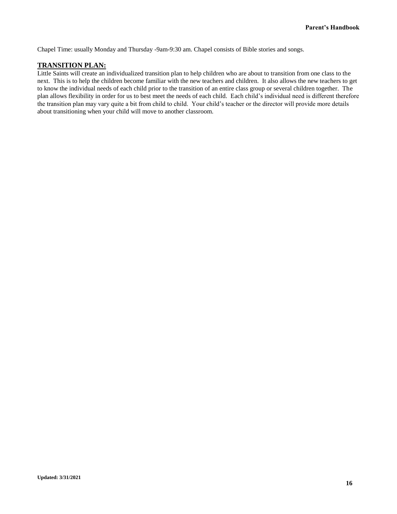Chapel Time: usually Monday and Thursday -9am-9:30 am. Chapel consists of Bible stories and songs.

#### **TRANSITION PLAN:**

Little Saints will create an individualized transition plan to help children who are about to transition from one class to the next. This is to help the children become familiar with the new teachers and children. It also allows the new teachers to get to know the individual needs of each child prior to the transition of an entire class group or several children together. The plan allows flexibility in order for us to best meet the needs of each child. Each child's individual need is different therefore the transition plan may vary quite a bit from child to child. Your child's teacher or the director will provide more details about transitioning when your child will move to another classroom.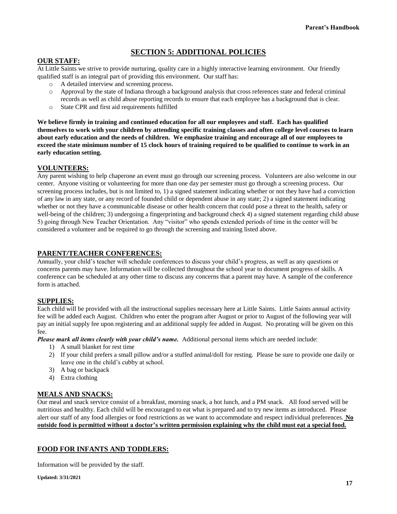# **SECTION 5: ADDITIONAL POLICIES**

# **OUR STAFF:**

At Little Saints we strive to provide nurturing, quality care in a highly interactive learning environment. Our friendly qualified staff is an integral part of providing this environment. Our staff has:

- o A detailed interview and screening process.
- o Approval by the state of Indiana through a background analysis that cross references state and federal criminal records as well as child abuse reporting records to ensure that each employee has a background that is clear.
- o State CPR and first aid requirements fulfilled

**We believe firmly in training and continued education for all our employees and staff. Each has qualified themselves to work with your children by attending specific training classes and often college level courses to learn about early education and the needs of children. We emphasize training and encourage all of our employees to exceed the state minimum number of 15 clock hours of training required to be qualified to continue to work in an early education setting.**

# **VOLUNTEERS:**

Any parent wishing to help chaperone an event must go through our screening process. Volunteers are also welcome in our center. Anyone visiting or volunteering for more than one day per semester must go through a screening process. Our screening process includes, but is not limited to, 1) a signed statement indicating whether or not they have had a conviction of any law in any state, or any record of founded child or dependent abuse in any state; 2) a signed statement indicating whether or not they have a communicable disease or other health concern that could pose a threat to the health, safety or well-being of the children; 3) undergoing a fingerprinting and background check 4) a signed statement regarding child abuse 5) going through New Teacher Orientation. Any "visitor" who spends extended periods of time in the center will be considered a volunteer and be required to go through the screening and training listed above.

# **PARENT/TEACHER CONFERENCES:**

Annually, your child's teacher will schedule conferences to discuss your child's progress, as well as any questions or concerns parents may have. Information will be collected throughout the school year to document progress of skills. A conference can be scheduled at any other time to discuss any concerns that a parent may have. A sample of the conference form is attached.

# **SUPPLIES:**

Each child will be provided with all the instructional supplies necessary here at Little Saints. Little Saints annual activity fee will be added each August. Children who enter the program after August or prior to August of the following year will pay an initial supply fee upon registering and an additional supply fee added in August. No prorating will be given on this fee.

*Please mark all items clearly with your child's name.* Additional personal items which are needed include:

- 1) A small blanket for rest time
- 2) If your child prefers a small pillow and/or a stuffed animal/doll for resting. Please be sure to provide one daily or leave one in the child's cubby at school.
- 3) A bag or backpack
- 4) Extra clothing

# **MEALS AND SNACKS:**

Our meal and snack service consist of a breakfast, morning snack, a hot lunch, and a PM snack. All food served will be nutritious and healthy. Each child will be encouraged to eat what is prepared and to try new items as introduced. Please alert our staff of any food allergies or food restrictions as we want to accommodate and respect individual preferences. **No outside food is permitted without a doctor's written permission explaining why the child must eat a special food.**

# **FOOD FOR INFANTS AND TODDLERS:**

Information will be provided by the staff.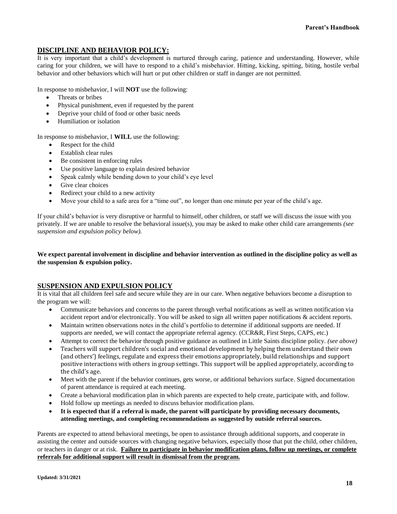# **DISCIPLINE AND BEHAVIOR POLICY:**

It is very important that a child's development is nurtured through caring, patience and understanding. However, while caring for your children, we will have to respond to a child's misbehavior. Hitting, kicking, spitting, biting, hostile verbal behavior and other behaviors which will hurt or put other children or staff in danger are not permitted.

In response to misbehavior, I will **NOT** use the following:

- Threats or bribes
- Physical punishment, even if requested by the parent
- Deprive your child of food or other basic needs
- Humiliation or isolation

In response to misbehavior, I **WILL** use the following:

- Respect for the child
- Establish clear rules
- Be consistent in enforcing rules
- Use positive language to explain desired behavior
- Speak calmly while bending down to your child's eye level
- Give clear choices
- Redirect your child to a new activity
- Move your child to a safe area for a "time out", no longer than one minute per year of the child's age.

If your child's behavior is very disruptive or harmful to himself, other children, or staff we will discuss the issue with you privately. If we are unable to resolve the behavioral issue(s), you may be asked to make other child care arrangements *(see suspension and expulsion policy below).*

#### **We expect parental involvement in discipline and behavior intervention as outlined in the discipline policy as well as the suspension & expulsion policy.**

# **SUSPENSION AND EXPULSION POLICY**

It is vital that all children feel safe and secure while they are in our care. When negative behaviors become a disruption to the program we will:

- Communicate behaviors and concerns to the parent through verbal notifications as well as written notification via accident report and/or electronically. You will be asked to sign all written paper notifications & accident reports.
- Maintain written observations notes in the child's portfolio to determine if additional supports are needed. If supports are needed, we will contact the appropriate referral agency. (CCR&R, First Steps, CAPS, etc.)
- Attempt to correct the behavior through positive guidance as outlined in Little Saints discipline policy. *(see above)*
- Teachers will support children's social and emotional development by helping them understand their own (and others') feelings, regulate and express their emotions appropriately, build relationships and support positive interactions with others in group settings. This support will be applied appropriately, according to the child's age.
- Meet with the parent if the behavior continues, gets worse, or additional behaviors surface. Signed documentation of parent attendance is required at each meeting.
- Create a behavioral modification plan in which parents are expected to help create, participate with, and follow.
- Hold follow up meetings as needed to discuss behavior modification plans.
- **It is expected that if a referral is made, the parent will participate by providing necessary documents, attending meetings, and completing recommendations as suggested by outside referral sources.**

Parents are expected to attend behavioral meetings, be open to assistance through additional supports, and cooperate in assisting the center and outside sources with changing negative behaviors, especially those that put the child, other children, or teachers in danger or at risk. **Failure to participate in behavior modification plans, follow up meetings, or complete referrals for additional support will result in dismissal from the program.**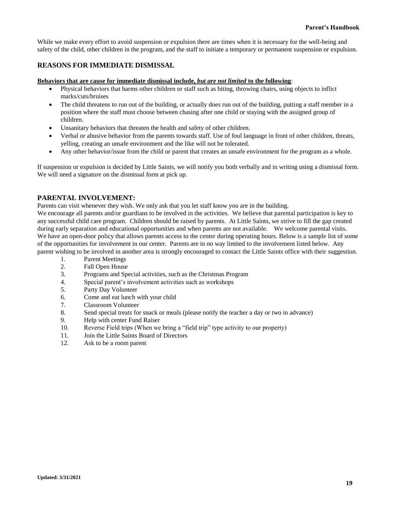While we make every effort to avoid suspension or expulsion there are times when it is necessary for the well-being and safety of the child, other children in the program, and the staff to initiate a temporary or permanent suspension or expulsion.

#### **REASONS FOR IMMEDIATE DISMISSAL**

#### **Behaviors that are cause for immediate dismissal include,** *but are not limited* **to the following**:

- Physical behaviors that harms other children or staff such as biting, throwing chairs, using objects to inflict marks/cuts/bruises
- The child threatens to run out of the building, or actually does run out of the building, putting a staff member in a position where the staff must choose between chasing after one child or staying with the assigned group of children.
- Unsanitary behaviors that threaten the health and safety of other children.
- Verbal or abusive behavior from the parents towards staff. Use of foul language in front of other children, threats, yelling, creating an unsafe environment and the like will not be tolerated.
- Any other behavior/issue from the child or parent that creates an unsafe environment for the program as a whole.

If suspension or expulsion is decided by Little Saints, we will notify you both verbally and in writing using a dismissal form. We will need a signature on the dismissal form at pick up.

#### **PARENTAL INVOLVEMENT:**

Parents can visit whenever they wish. We only ask that you let staff know you are in the building.

We encourage all parents and/or guardians to be involved in the activities. We believe that parental participation is key to any successful child care program. Children should be raised by parents. At Little Saints, we strive to fill the gap created during early separation and educational opportunities and when parents are not available. We welcome parental visits. We have an open-door policy that allows parents access to the center during operating hours. Below is a sample list of some of the opportunities for involvement in our center. Parents are in no way limited to the involvement listed below. Any parent wishing to be involved in another area is strongly encouraged to contact the Little Saints office with their suggestion.

- 1. Parent Meetings
- 2. Fall Open House
- 3. Programs and Special activities, such as the Christmas Program
- 4. Special parent's involvement activities such as workshops
- 5. Party Day Volunteer
- 6. Come and eat lunch with your child
- 7. Classroom Volunteer
- 8. Send special treats for snack or meals (please notify the teacher a day or two in advance)
- 9. Help with center Fund Raiser
- 10. Reverse Field trips (When we bring a "field trip" type activity to our property)
- 11. Join the Little Saints Board of Directors
- 12. Ask to be a room parent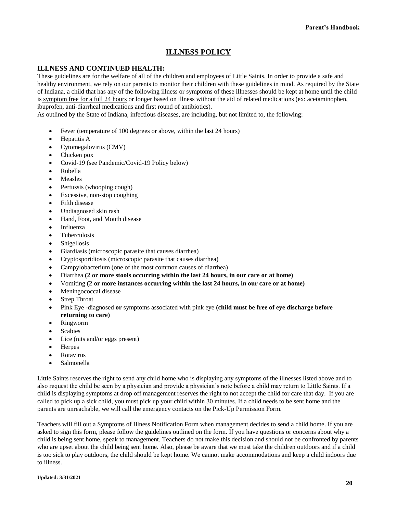# **ILLNESS POLICY**

# **ILLNESS AND CONTINUED HEALTH:**

These guidelines are for the welfare of all of the children and employees of Little Saints. In order to provide a safe and healthy environment, we rely on our parents to monitor their children with these guidelines in mind. As required by the State of Indiana, a child that has any of the following illness or symptoms of these illnesses should be kept at home until the child is symptom free for a full 24 hours or longer based on illness without the aid of related medications (ex: acetaminophen, ibuprofen, anti-diarrheal medications and first round of antibiotics).

As outlined by the State of Indiana, infectious diseases, are including, but not limited to, the following:

- Fever (temperature of 100 degrees or above, within the last 24 hours)
- Hepatitis A
- Cytomegalovirus (CMV)
- Chicken pox
- Covid-19 (see Pandemic/Covid-19 Policy below)
- Rubella
- Measles
- Pertussis (whooping cough)
- Excessive, non-stop coughing
- Fifth disease
- Undiagnosed skin rash
- Hand, Foot, and Mouth disease
- Influenza
- Tuberculosis
- **Shigellosis**
- Giardiasis (microscopic parasite that causes diarrhea)
- Cryptosporidiosis (microscopic parasite that causes diarrhea)
- Campylobacterium (one of the most common causes of diarrhea)
- Diarrhea **(2 or more stools occurring within the last 24 hours, in our care or at home)**
- Vomiting **(2 or more instances occurring within the last 24 hours, in our care or at home)**
- Meningococcal disease
- Strep Throat
- Pink Eye -diagnosed **or** symptoms associated with pink eye **(child must be free of eye discharge before returning to care)**
- Ringworm
- **Scabies**
- Lice (nits and/or eggs present)
- Herpes
- Rotavirus
- Salmonella

Little Saints reserves the right to send any child home who is displaying any symptoms of the illnesses listed above and to also request the child be seen by a physician and provide a physician's note before a child may return to Little Saints. If a child is displaying symptoms at drop off management reserves the right to not accept the child for care that day. If you are called to pick up a sick child, you must pick up your child within 30 minutes. If a child needs to be sent home and the parents are unreachable, we will call the emergency contacts on the Pick-Up Permission Form.

Teachers will fill out a Symptoms of Illness Notification Form when management decides to send a child home. If you are asked to sign this form, please follow the guidelines outlined on the form. If you have questions or concerns about why a child is being sent home, speak to management. Teachers do not make this decision and should not be confronted by parents who are upset about the child being sent home. Also, please be aware that we must take the children outdoors and if a child is too sick to play outdoors, the child should be kept home. We cannot make accommodations and keep a child indoors due to illness.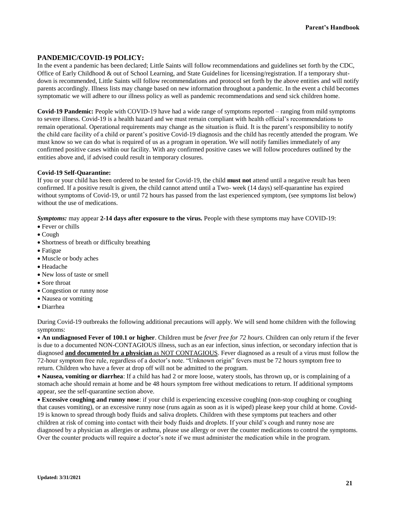#### **PANDEMIC/COVID-19 POLICY:**

In the event a pandemic has been declared; Little Saints will follow recommendations and guidelines set forth by the CDC, Office of Early Childhood & out of School Learning, and State Guidelines for licensing/registration. If a temporary shutdown is recommended, Little Saints will follow recommendations and protocol set forth by the above entities and will notify parents accordingly. Illness lists may change based on new information throughout a pandemic. In the event a child becomes symptomatic we will adhere to our illness policy as well as pandemic recommendations and send sick children home.

**Covid-19 Pandemic:** People with COVID-19 have had a wide range of symptoms reported – ranging from mild symptoms to severe illness. Covid-19 is a health hazard and we must remain compliant with health official's recommendations to remain operational. Operational requirements may change as the situation is fluid. It is the parent's responsibility to notify the child care facility of a child or parent's positive Covid-19 diagnosis and the child has recently attended the program. We must know so we can do what is required of us as a program in operation. We will notify families immediately of any confirmed positive cases within our facility. With any confirmed positive cases we will follow procedures outlined by the entities above and, if advised could result in temporary closures.

#### **Covid-19 Self-Quarantine:**

If you or your child has been ordered to be tested for Covid-19, the child **must not** attend until a negative result has been confirmed. If a positive result is given, the child cannot attend until a Two- week (14 days) self-quarantine has expired without symptoms of Covid-19, or until 72 hours has passed from the last experienced symptom, (see symptoms list below) without the use of medications.

*Symptoms:* may appear 2-14 days after exposure to the virus. People with these symptoms may have COVID-19:

- Fever or chills
- Cough
- Shortness of breath or difficulty breathing
- Fatigue
- Muscle or body aches
- Headache
- New loss of taste or smell
- Sore throat
- Congestion or runny nose
- Nausea or vomiting
- Diarrhea

During Covid-19 outbreaks the following additional precautions will apply. We will send home children with the following symptoms:

• **An undiagnosed Fever of 100.1 or higher**. Children must be *fever free for 72 hours*. Children can only return if the fever is due to a documented NON-CONTAGIOUS illness, such as an ear infection, sinus infection, or secondary infection that is diagnosed **and documented by a physician** as NOT CONTAGIOUS. Fever diagnosed as a result of a virus must follow the 72-hour symptom free rule, regardless of a doctor's note. "Unknown origin" fevers must be 72 hours symptom free to return. Children who have a fever at drop off will not be admitted to the program.

• **Nausea, vomiting or diarrhea**: If a child has had 2 or more loose, watery stools, has thrown up, or is complaining of a stomach ache should remain at home and be 48 hours symptom free without medications to return. If additional symptoms appear, see the self-quarantine section above.

• **Excessive coughing and runny nose**: if your child is experiencing excessive coughing (non-stop coughing or coughing that causes vomiting), or an excessive runny nose (runs again as soon as it is wiped) please keep your child at home. Covid-19 is known to spread through body fluids and saliva droplets. Children with these symptoms put teachers and other children at risk of coming into contact with their body fluids and droplets. If your child's cough and runny nose are diagnosed by a physician as allergies or asthma, please use allergy or over the counter medications to control the symptoms. Over the counter products will require a doctor's note if we must administer the medication while in the program.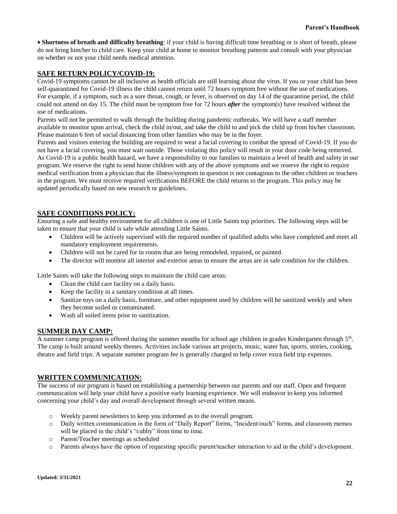• **Shortness of breath and difficulty breathing**: if your child is having difficult time breathing or is short of breath, please do not bring him/her to child care. Keep your child at home to monitor breathing patterns and consult with your physician on whether or not your child needs medical attention.

# **SAFE RETURN POLICY/COVID-19:**

Covid-19 symptoms cannot be all inclusive as health officials are still learning about the virus. If you or your child has been self-quarantined for Covid-19 illness the child cannot return until 72 hours symptom free without the use of medications. For example, if a symptom, such as a sore throat, cough, or fever, is observed on day 14 of the quarantine period, the child could not attend on day 15. The child must be symptom free for 72 hours *after* the symptom(s) have resolved without the use of medications.

Parents will not be permitted to walk through the building during pandemic outbreaks. We will have a staff member available to monitor upon arrival, check the child in/out, and take the child to and pick the child up from his/her classroom. Please maintain 6 feet of social distancing from other families who may be in the foyer.

Parents and visitors entering the building are required to wear a facial covering to combat the spread of Covid-19. If you do not have a facial covering, you must wait outside. Those violating this policy will result in your door code being removed. As Covid-19 is a public health hazard, we have a responsibility to our families to maintain a level of health and safety in our program. We reserve the right to send home children with any of the above symptoms and we reserve the right to require medical verification from a physician that the illness/symptom in question is not contagious to the other children or teachers in the program. We must receive required verifications BEFORE the child returns to the program. This policy may be updated periodically based on new research or guidelines.

# **SAFE CONDITIONS POLICY:**

Ensuring a safe and healthy environment for all children is one of Little Saints top priorities. The following steps will be taken to ensure that your child is safe while attending Little Saints.

- Children will be actively supervised with the required number of qualified adults who have completed and meet all mandatory employment requirements.
- Children will not be cared for in rooms that are being remodeled, repaired, or painted.
- The director will monitor all interior and exterior areas to ensure the areas are in safe condition for the children.

Little Saints will take the following steps to maintain the child care areas:

- Clean the child care facility on a daily basis.
- Keep the facility in a sanitary condition at all times.
- Sanitize toys on a daily basis, furniture, and other equipment used by children will be sanitized weekly and when they become soiled or contaminated.
- Wash all soiled items prior to sanitization.

# **SUMMER DAY CAMP:**

A summer camp program is offered during the summer months for school age children in grades Kindergarten through 5<sup>th</sup>. The camp is built around weekly themes. Activities include various art projects, music, water fun, sports, stories, cooking, theatre and field trips. A separate summer program fee is generally charged to help cover extra field trip expenses.

# **WRITTEN COMMUNICATION:**

The success of our program is based on establishing a partnership between our parents and our staff. Open and frequent communication will help your child have a positive early learning experience. We will endeavor to keep you informed concerning your child's day and overall development through several written means.

- o Weekly parent newsletters to keep you informed as to the overall program.
- o Daily written communication in the form of "Daily Report" forms, "Incident/ouch" forms, and classroom memos will be placed in the child's "cubby" from time to time.
- o Parent/Teacher meetings as scheduled
- o Parents always have the option of requesting specific parent/teacher interaction to aid in the child's development.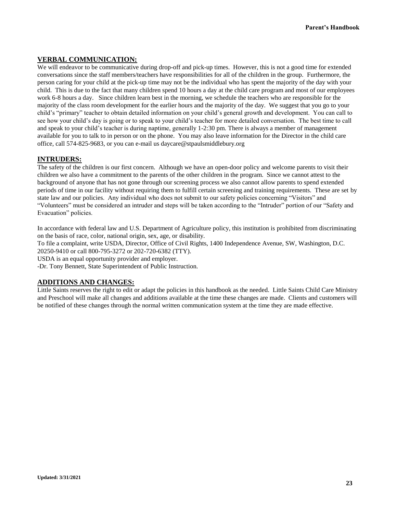# **VERBAL COMMUNICATION:**

We will endeavor to be communicative during drop-off and pick-up times. However, this is not a good time for extended conversations since the staff members/teachers have responsibilities for all of the children in the group. Furthermore, the person caring for your child at the pick-up time may not be the individual who has spent the majority of the day with your child. This is due to the fact that many children spend 10 hours a day at the child care program and most of our employees work 6-8 hours a day. Since children learn best in the morning, we schedule the teachers who are responsible for the majority of the class room development for the earlier hours and the majority of the day. We suggest that you go to your child's "primary" teacher to obtain detailed information on your child's general growth and development. You can call to see how your child's day is going or to speak to your child's teacher for more detailed conversation. The best time to call and speak to your child's teacher is during naptime, generally 1-2:30 pm. There is always a member of management available for you to talk to in person or on the phone. You may also leave information for the Director in the child care office, call 574-825-9683, or you can e-mail us daycare@stpaulsmiddlebury.org

# **INTRUDERS:**

The safety of the children is our first concern. Although we have an open-door policy and welcome parents to visit their children we also have a commitment to the parents of the other children in the program. Since we cannot attest to the background of anyone that has not gone through our screening process we also cannot allow parents to spend extended periods of time in our facility without requiring them to fulfill certain screening and training requirements. These are set by state law and our policies. Any individual who does not submit to our safety policies concerning "Visitors" and "Volunteers" must be considered an intruder and steps will be taken according to the "Intruder" portion of our "Safety and Evacuation" policies.

In accordance with federal law and U.S. Department of Agriculture policy, this institution is prohibited from discriminating on the basis of race, color, national origin, sex, age, or disability.

To file a complaint, write USDA, Director, Office of Civil Rights, 1400 Independence Avenue, SW, Washington, D.C. 20250-9410 or call 800-795-3272 or 202-720-6382 (TTY).

USDA is an equal opportunity provider and employer.

-Dr. Tony Bennett, State Superintendent of Public Instruction.

#### **ADDITIONS AND CHANGES:**

Little Saints reserves the right to edit or adapt the policies in this handbook as the needed. Little Saints Child Care Ministry and Preschool will make all changes and additions available at the time these changes are made. Clients and customers will be notified of these changes through the normal written communication system at the time they are made effective.